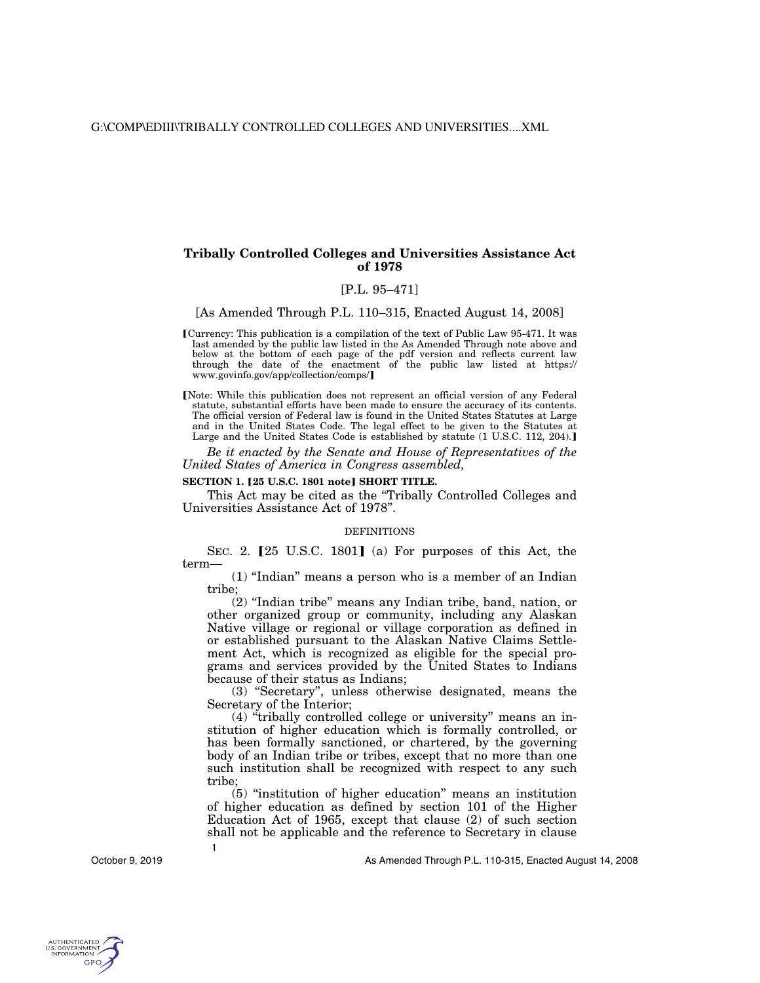## **Tribally Controlled Colleges and Universities Assistance Act of 1978**

# [P.L. 95–471]

[As Amended Through P.L. 110–315, Enacted August 14, 2008]

- [Currency: This publication is a compilation of the text of Public Law 95-471. It was last amended by the public law listed in the As Amended Through note above and below at the bottom of each page of the pdf version and reflects current law through the date of the enactment of the public law listed at https:// www.govinfo.gov/app/collection/comps/
- [Note: While this publication does not represent an official version of any Federal statute, substantial efforts have been made to ensure the accuracy of its contents. The official version of Federal law is found in the United States Statutes at Large and in the United States Code. The legal effect to be given to the Statutes at Large and the United States Code is established by statute (1 U.S.C. 112, 204).]

*Be it enacted by the Senate and House of Representatives of the United States of America in Congress assembled,* 

#### **SECTION 1. [25 U.S.C. 1801 note] SHORT TITLE.**

This Act may be cited as the "Tribally Controlled Colleges and Universities Assistance Act of 1978''.

#### DEFINITIONS

SEC. 2. [25 U.S.C. 1801] (a) For purposes of this Act, the term—

(1) ''Indian'' means a person who is a member of an Indian tribe;

 $(2)$  "Indian tribe" means any Indian tribe, band, nation, or other organized group or community, including any Alaskan Native village or regional or village corporation as defined in or established pursuant to the Alaskan Native Claims Settlement Act, which is recognized as eligible for the special programs and services provided by the United States to Indians because of their status as Indians;

(3) ''Secretary'', unless otherwise designated, means the Secretary of the Interior;

(4) ''tribally controlled college or university'' means an institution of higher education which is formally controlled, or has been formally sanctioned, or chartered, by the governing body of an Indian tribe or tribes, except that no more than one such institution shall be recognized with respect to any such tribe;

 $(5)$  "institution of higher education" means an institution of higher education as defined by section 101 of the Higher Education Act of 1965, except that clause (2) of such section shall not be applicable and the reference to Secretary in clause

October 9, 2019

**1** 

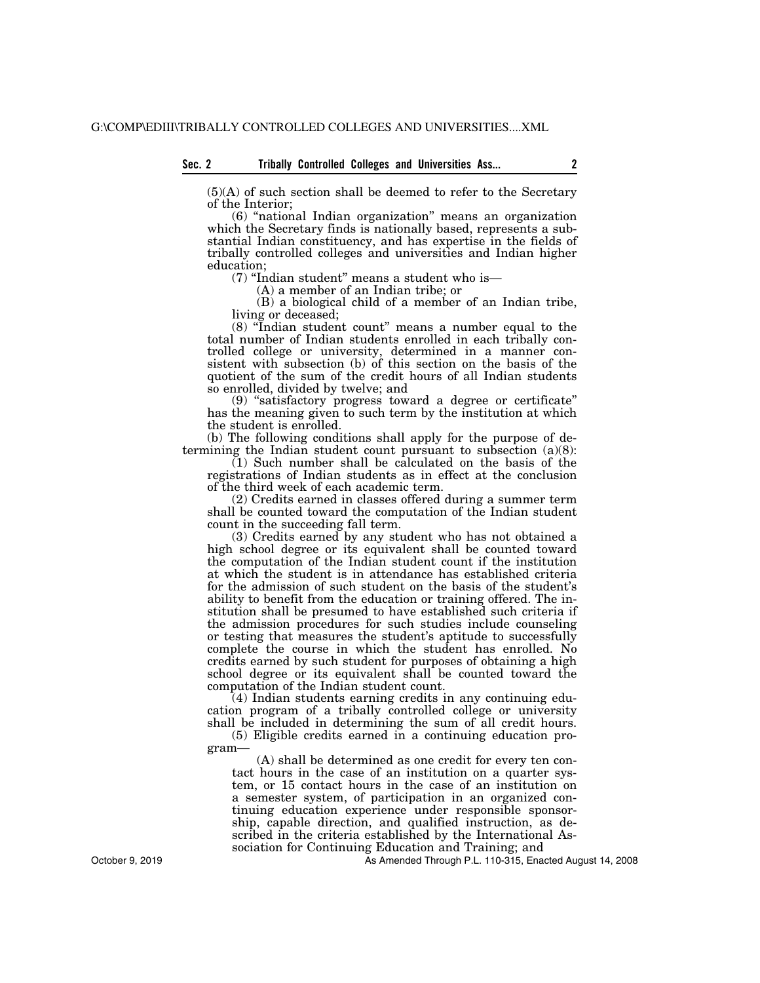(5)(A) of such section shall be deemed to refer to the Secretary of the Interior;

(6) ''national Indian organization'' means an organization which the Secretary finds is nationally based, represents a substantial Indian constituency, and has expertise in the fields of tribally controlled colleges and universities and Indian higher education;

(7) ''Indian student'' means a student who is—

(A) a member of an Indian tribe; or

(B) a biological child of a member of an Indian tribe, living or deceased;

(8) ''Indian student count'' means a number equal to the total number of Indian students enrolled in each tribally controlled college or university, determined in a manner consistent with subsection (b) of this section on the basis of the quotient of the sum of the credit hours of all Indian students so enrolled, divided by twelve; and

(9) ''satisfactory progress toward a degree or certificate'' has the meaning given to such term by the institution at which the student is enrolled.

(b) The following conditions shall apply for the purpose of determining the Indian student count pursuant to subsection (a)(8):

 $(1)$  Such number shall be calculated on the basis of the registrations of Indian students as in effect at the conclusion of the third week of each academic term.

(2) Credits earned in classes offered during a summer term shall be counted toward the computation of the Indian student count in the succeeding fall term.

(3) Credits earned by any student who has not obtained a high school degree or its equivalent shall be counted toward the computation of the Indian student count if the institution at which the student is in attendance has established criteria for the admission of such student on the basis of the student's ability to benefit from the education or training offered. The institution shall be presumed to have established such criteria if the admission procedures for such studies include counseling or testing that measures the student's aptitude to successfully complete the course in which the student has enrolled. No credits earned by such student for purposes of obtaining a high school degree or its equivalent shall be counted toward the computation of the Indian student count.

(4) Indian students earning credits in any continuing education program of a tribally controlled college or university shall be included in determining the sum of all credit hours.

(5) Eligible credits earned in a continuing education program—

(A) shall be determined as one credit for every ten contact hours in the case of an institution on a quarter system, or 15 contact hours in the case of an institution on a semester system, of participation in an organized continuing education experience under responsible sponsorship, capable direction, and qualified instruction, as described in the criteria established by the International Association for Continuing Education and Training; and

As Amended Through P.L. 110-315, Enacted August 14, 2008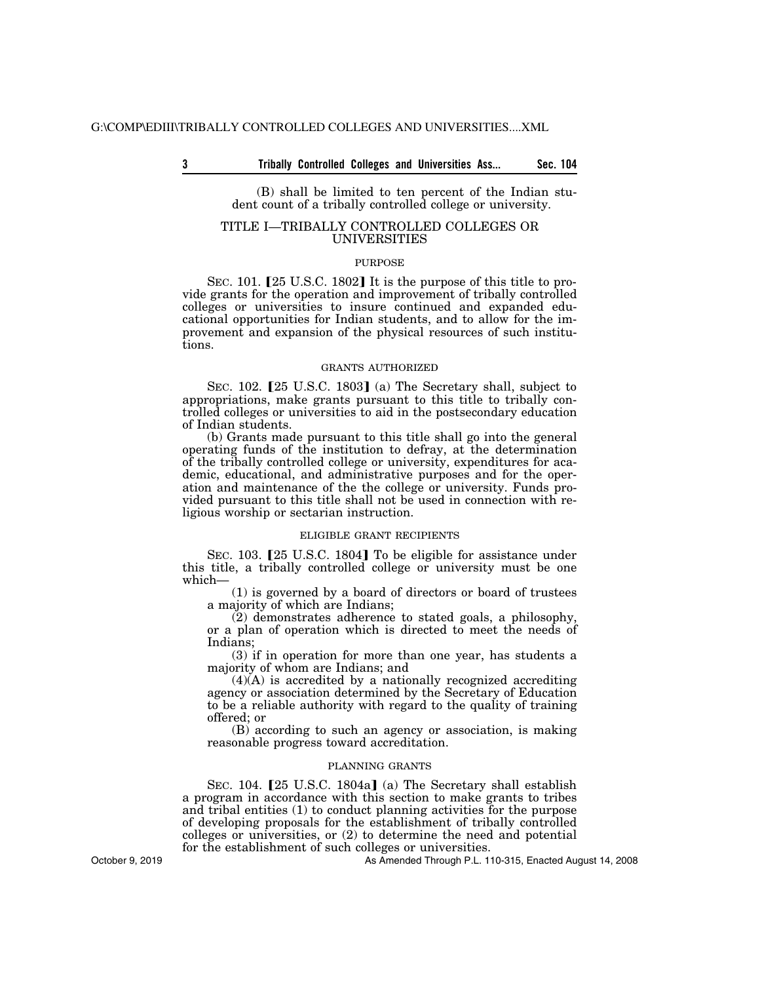**3 Sec. 104 Tribally Controlled Colleges and Universities Ass...** 

(B) shall be limited to ten percent of the Indian student count of a tribally controlled college or university.

## TITLE I—TRIBALLY CONTROLLED COLLEGES OR UNIVERSITIES

#### PURPOSE

SEC. 101. [25 U.S.C. 1802] It is the purpose of this title to provide grants for the operation and improvement of tribally controlled colleges or universities to insure continued and expanded educational opportunities for Indian students, and to allow for the improvement and expansion of the physical resources of such institutions.

#### GRANTS AUTHORIZED

SEC.  $102.$  [25 U.S.C. 1803] (a) The Secretary shall, subject to appropriations, make grants pursuant to this title to tribally controlled colleges or universities to aid in the postsecondary education of Indian students.

(b) Grants made pursuant to this title shall go into the general operating funds of the institution to defray, at the determination of the tribally controlled college or university, expenditures for academic, educational, and administrative purposes and for the operation and maintenance of the the college or university. Funds provided pursuant to this title shall not be used in connection with religious worship or sectarian instruction.

## ELIGIBLE GRANT RECIPIENTS

SEC. 103. [25 U.S.C. 1804] To be eligible for assistance under this title, a tribally controlled college or university must be one which—

(1) is governed by a board of directors or board of trustees a majority of which are Indians;

(2) demonstrates adherence to stated goals, a philosophy, or a plan of operation which is directed to meet the needs of Indians;

(3) if in operation for more than one year, has students a majority of whom are Indians; and

 $(4)(A)$  is accredited by a nationally recognized accrediting agency or association determined by the Secretary of Education to be a reliable authority with regard to the quality of training offered; or

(B) according to such an agency or association, is making reasonable progress toward accreditation.

#### PLANNING GRANTS

SEC. 104. [25 U.S.C. 1804a] (a) The Secretary shall establish a program in accordance with this section to make grants to tribes and tribal entities (1) to conduct planning activities for the purpose of developing proposals for the establishment of tribally controlled colleges or universities, or (2) to determine the need and potential for the establishment of such colleges or universities.

As Amended Through P.L. 110-315, Enacted August 14, 2008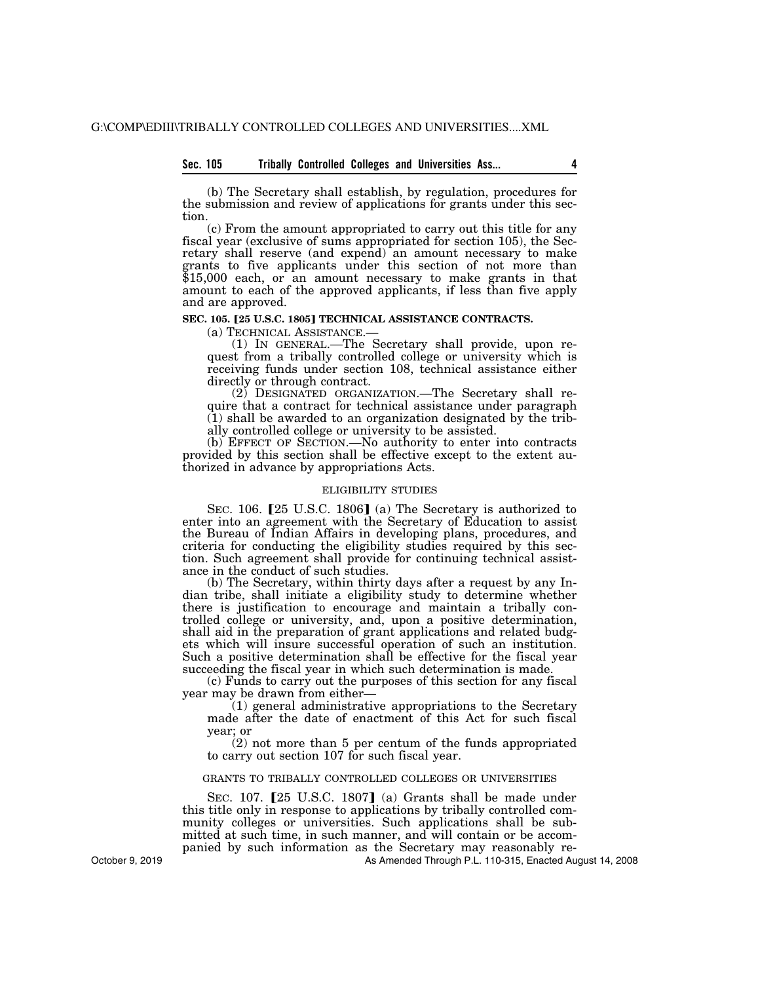## **Sec. 105 Tribally Controlled Colleges and Universities Ass... 4**

(b) The Secretary shall establish, by regulation, procedures for the submission and review of applications for grants under this section.

(c) From the amount appropriated to carry out this title for any fiscal year (exclusive of sums appropriated for section 105), the Secretary shall reserve (and expend) an amount necessary to make grants to five applicants under this section of not more than \$15,000 each, or an amount necessary to make grants in that amount to each of the approved applicants, if less than five apply and are approved.

## **SEC. 105. [25 U.S.C. 1805] TECHNICAL ASSISTANCE CONTRACTS.**

(a) TECHNICAL ASSISTANCE.— (1) IN GENERAL.—The Secretary shall provide, upon request from a tribally controlled college or university which is receiving funds under section 108, technical assistance either directly or through contract.

(2) DESIGNATED ORGANIZATION.—The Secretary shall require that a contract for technical assistance under paragraph (1) shall be awarded to an organization designated by the tribally controlled college or university to be assisted.

(b) EFFECT OF SECTION.—No authority to enter into contracts provided by this section shall be effective except to the extent authorized in advance by appropriations Acts.

## ELIGIBILITY STUDIES

SEC. 106.  $[25 \text{ U.S.C. } 1806]$  (a) The Secretary is authorized to enter into an agreement with the Secretary of Education to assist the Bureau of Indian Affairs in developing plans, procedures, and criteria for conducting the eligibility studies required by this section. Such agreement shall provide for continuing technical assistance in the conduct of such studies.

(b) The Secretary, within thirty days after a request by any Indian tribe, shall initiate a eligibility study to determine whether there is justification to encourage and maintain a tribally controlled college or university, and, upon a positive determination, shall aid in the preparation of grant applications and related budgets which will insure successful operation of such an institution. Such a positive determination shall be effective for the fiscal year succeeding the fiscal year in which such determination is made.

(c) Funds to carry out the purposes of this section for any fiscal year may be drawn from either—

(1) general administrative appropriations to the Secretary made after the date of enactment of this Act for such fiscal year; or

(2) not more than 5 per centum of the funds appropriated to carry out section 107 for such fiscal year.

# GRANTS TO TRIBALLY CONTROLLED COLLEGES OR UNIVERSITIES

SEC.  $107.$  [25 U.S.C. 1807] (a) Grants shall be made under this title only in response to applications by tribally controlled community colleges or universities. Such applications shall be submitted at such time, in such manner, and will contain or be accompanied by such information as the Secretary may reasonably re-

As Amended Through P.L. 110-315, Enacted August 14, 2008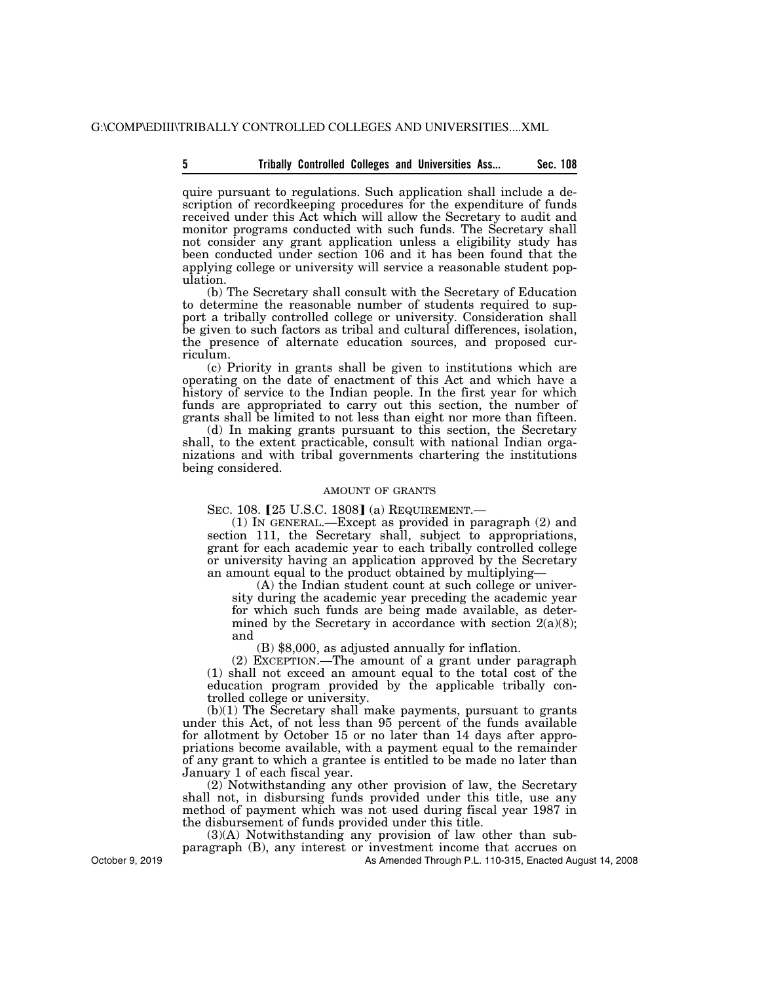# **5 Sec. 108 Tribally Controlled Colleges and Universities Ass...**

quire pursuant to regulations. Such application shall include a description of recordkeeping procedures for the expenditure of funds received under this Act which will allow the Secretary to audit and monitor programs conducted with such funds. The Secretary shall not consider any grant application unless a eligibility study has been conducted under section 106 and it has been found that the applying college or university will service a reasonable student population.

(b) The Secretary shall consult with the Secretary of Education to determine the reasonable number of students required to support a tribally controlled college or university. Consideration shall be given to such factors as tribal and cultural differences, isolation, the presence of alternate education sources, and proposed curriculum.

(c) Priority in grants shall be given to institutions which are operating on the date of enactment of this Act and which have a history of service to the Indian people. In the first year for which funds are appropriated to carry out this section, the number of grants shall be limited to not less than eight nor more than fifteen.

(d) In making grants pursuant to this section, the Secretary shall, to the extent practicable, consult with national Indian organizations and with tribal governments chartering the institutions being considered.

## AMOUNT OF GRANTS

SEC. 108. [25 U.S.C. 1808] (a) REQUIREMENT.

(1) IN GENERAL.—Except as provided in paragraph (2) and section 111, the Secretary shall, subject to appropriations, grant for each academic year to each tribally controlled college or university having an application approved by the Secretary an amount equal to the product obtained by multiplying—

(A) the Indian student count at such college or university during the academic year preceding the academic year for which such funds are being made available, as determined by the Secretary in accordance with section  $2(a)(8)$ ; and

(B) \$8,000, as adjusted annually for inflation.

(2) EXCEPTION.—The amount of a grant under paragraph (1) shall not exceed an amount equal to the total cost of the education program provided by the applicable tribally controlled college or university.

(b)(1) The Secretary shall make payments, pursuant to grants under this Act, of not less than 95 percent of the funds available for allotment by October 15 or no later than 14 days after appropriations become available, with a payment equal to the remainder of any grant to which a grantee is entitled to be made no later than January 1 of each fiscal year.

(2) Notwithstanding any other provision of law, the Secretary shall not, in disbursing funds provided under this title, use any method of payment which was not used during fiscal year 1987 in the disbursement of funds provided under this title.

(3)(A) Notwithstanding any provision of law other than subparagraph (B), any interest or investment income that accrues on

As Amended Through P.L. 110-315, Enacted August 14, 2008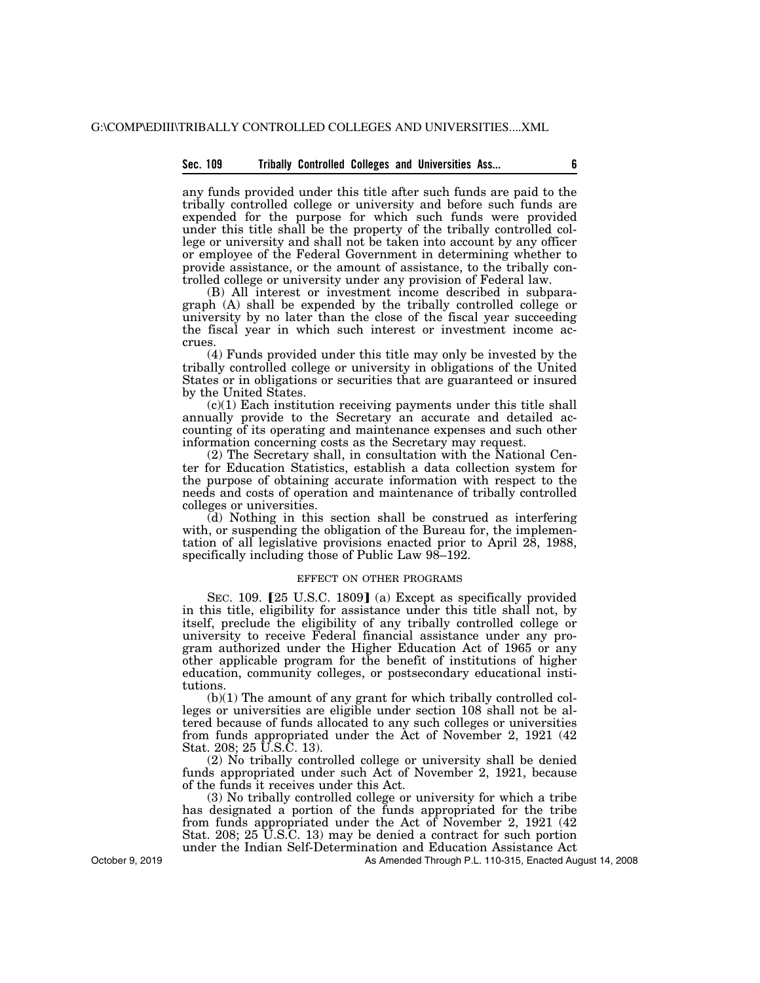## **Sec. 109 Tribally Controlled Colleges and Universities Ass... 6**

any funds provided under this title after such funds are paid to the tribally controlled college or university and before such funds are expended for the purpose for which such funds were provided under this title shall be the property of the tribally controlled college or university and shall not be taken into account by any officer or employee of the Federal Government in determining whether to provide assistance, or the amount of assistance, to the tribally controlled college or university under any provision of Federal law.

(B) All interest or investment income described in subparagraph (A) shall be expended by the tribally controlled college or university by no later than the close of the fiscal year succeeding the fiscal year in which such interest or investment income accrues.

(4) Funds provided under this title may only be invested by the tribally controlled college or university in obligations of the United States or in obligations or securities that are guaranteed or insured by the United States.

(c)(1) Each institution receiving payments under this title shall annually provide to the Secretary an accurate and detailed accounting of its operating and maintenance expenses and such other information concerning costs as the Secretary may request.

(2) The Secretary shall, in consultation with the National Center for Education Statistics, establish a data collection system for the purpose of obtaining accurate information with respect to the needs and costs of operation and maintenance of tribally controlled colleges or universities.

(d) Nothing in this section shall be construed as interfering with, or suspending the obligation of the Bureau for, the implementation of all legislative provisions enacted prior to April 28, 1988, specifically including those of Public Law 98–192.

#### EFFECT ON OTHER PROGRAMS

SEC. 109. [25 U.S.C. 1809] (a) Except as specifically provided in this title, eligibility for assistance under this title shall not, by itself, preclude the eligibility of any tribally controlled college or university to receive Federal financial assistance under any program authorized under the Higher Education Act of 1965 or any other applicable program for the benefit of institutions of higher education, community colleges, or postsecondary educational institutions.

(b)(1) The amount of any grant for which tribally controlled colleges or universities are eligible under section 108 shall not be altered because of funds allocated to any such colleges or universities from funds appropriated under the Act of November 2, 1921 (42 Stat. 208; 25 U.S.C. 13).

(2) No tribally controlled college or university shall be denied funds appropriated under such Act of November 2, 1921, because of the funds it receives under this Act.

(3) No tribally controlled college or university for which a tribe has designated a portion of the funds appropriated for the tribe from funds appropriated under the Act of November 2, 1921 (42 Stat. 208; 25 U.S.C. 13) may be denied a contract for such portion under the Indian Self-Determination and Education Assistance Act

As Amended Through P.L. 110-315, Enacted August 14, 2008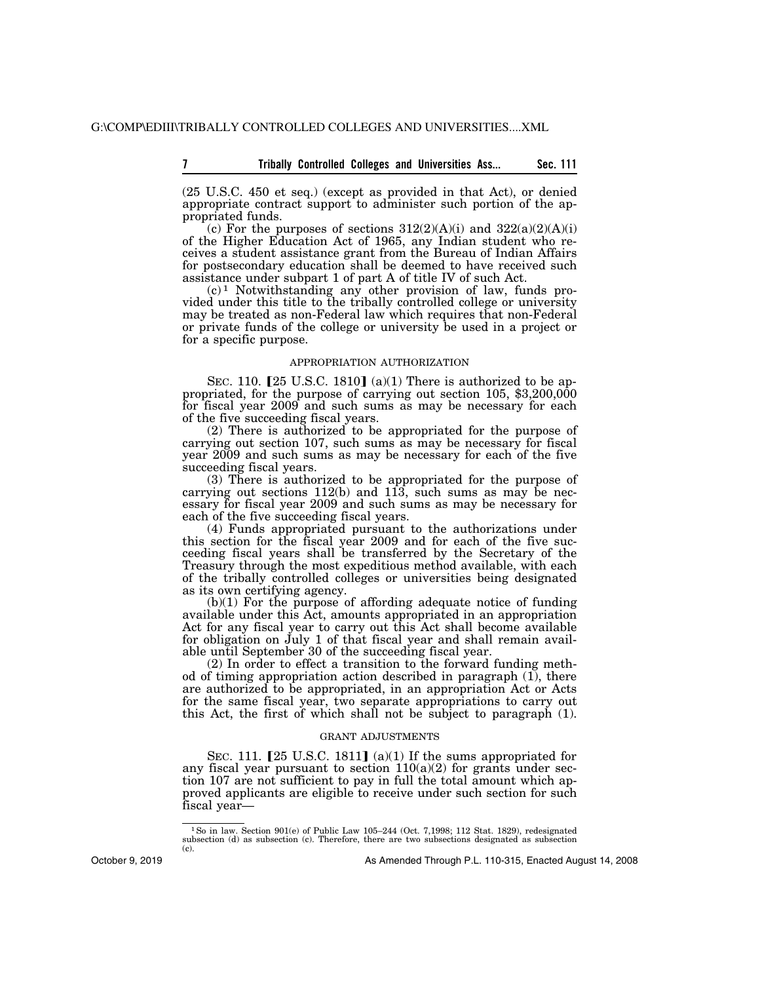**7 Sec. 111 Tribally Controlled Colleges and Universities Ass...** 

(25 U.S.C. 450 et seq.) (except as provided in that Act), or denied appropriate contract support to administer such portion of the appropriated funds.

(c) For the purposes of sections  $312(2)(A)(i)$  and  $322(a)(2)(A)(i)$ of the Higher Education Act of 1965, any Indian student who receives a student assistance grant from the Bureau of Indian Affairs for postsecondary education shall be deemed to have received such assistance under subpart 1 of part A of title IV of such Act.

 $(c)^1$  Notwithstanding any other provision of law, funds provided under this title to the tribally controlled college or university may be treated as non-Federal law which requires that non-Federal or private funds of the college or university be used in a project or for a specific purpose.

#### APPROPRIATION AUTHORIZATION

SEC. 110.  $[25 \text{ U.S.C. } 1810]$  (a)(1) There is authorized to be appropriated, for the purpose of carrying out section 105, \$3,200,000 for fiscal year 2009 and such sums as may be necessary for each of the five succeeding fiscal years.

(2) There is authorized to be appropriated for the purpose of carrying out section 107, such sums as may be necessary for fiscal year 2009 and such sums as may be necessary for each of the five succeeding fiscal years.

(3) There is authorized to be appropriated for the purpose of carrying out sections 112(b) and 113, such sums as may be necessary for fiscal year 2009 and such sums as may be necessary for each of the five succeeding fiscal years.

(4) Funds appropriated pursuant to the authorizations under this section for the fiscal year 2009 and for each of the five succeeding fiscal years shall be transferred by the Secretary of the Treasury through the most expeditious method available, with each of the tribally controlled colleges or universities being designated as its own certifying agency.

(b)(1) For the purpose of affording adequate notice of funding available under this Act, amounts appropriated in an appropriation Act for any fiscal year to carry out this Act shall become available for obligation on July 1 of that fiscal year and shall remain available until September 30 of the succeeding fiscal year.

(2) In order to effect a transition to the forward funding method of timing appropriation action described in paragraph  $(1)$ , there are authorized to be appropriated, in an appropriation Act or Acts for the same fiscal year, two separate appropriations to carry out this Act, the first of which shall not be subject to paragraph (1).

#### GRANT ADJUSTMENTS

SEC. 111.  $[25 \text{ U.S.C. } 1811]$  (a)(1) If the sums appropriated for any fiscal year pursuant to section  $110(a)(2)$  for grants under section 107 are not sufficient to pay in full the total amount which approved applicants are eligible to receive under such section for such fiscal year—

<sup>&</sup>lt;sup>1</sup>So in law. Section 901(e) of Public Law 105–244 (Oct. 7,1998; 112 Stat. 1829), redesignated subsection (d) as subsection (c). Therefore, there are two subsections designated as subsection (c).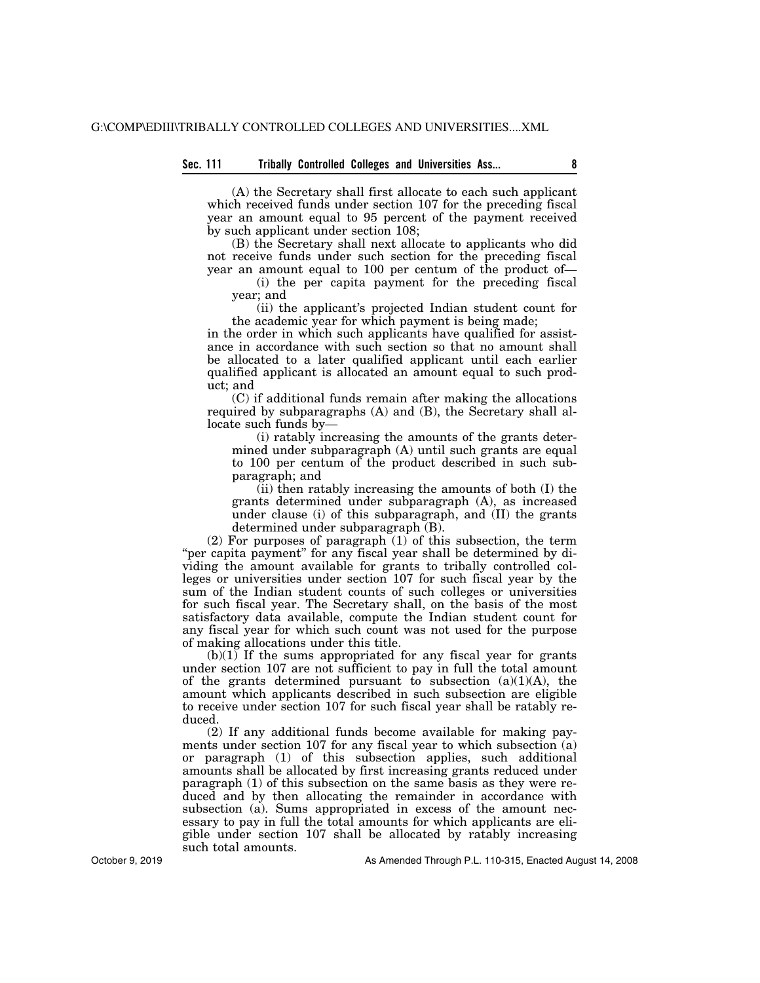# **Sec. 111 Tribally Controlled Colleges and Universities Ass... 8**

(A) the Secretary shall first allocate to each such applicant which received funds under section 107 for the preceding fiscal year an amount equal to 95 percent of the payment received by such applicant under section 108;

(B) the Secretary shall next allocate to applicants who did not receive funds under such section for the preceding fiscal year an amount equal to 100 per centum of the product of—

(i) the per capita payment for the preceding fiscal year; and

(ii) the applicant's projected Indian student count for the academic year for which payment is being made;

in the order in which such applicants have qualified for assistance in accordance with such section so that no amount shall be allocated to a later qualified applicant until each earlier qualified applicant is allocated an amount equal to such product; and

(C) if additional funds remain after making the allocations required by subparagraphs (A) and (B), the Secretary shall allocate such funds by—

(i) ratably increasing the amounts of the grants determined under subparagraph (A) until such grants are equal to 100 per centum of the product described in such subparagraph; and

(ii) then ratably increasing the amounts of both (I) the grants determined under subparagraph (A), as increased under clause (i) of this subparagraph, and (II) the grants determined under subparagraph (B).

(2) For purposes of paragraph (1) of this subsection, the term "per capita payment" for any fiscal year shall be determined by dividing the amount available for grants to tribally controlled colleges or universities under section 107 for such fiscal year by the sum of the Indian student counts of such colleges or universities for such fiscal year. The Secretary shall, on the basis of the most satisfactory data available, compute the Indian student count for any fiscal year for which such count was not used for the purpose of making allocations under this title.

 $(b)(1)$  If the sums appropriated for any fiscal year for grants under section 107 are not sufficient to pay in full the total amount of the grants determined pursuant to subsection  $(a)(1)(A)$ , the amount which applicants described in such subsection are eligible to receive under section 107 for such fiscal year shall be ratably reduced.

(2) If any additional funds become available for making payments under section 107 for any fiscal year to which subsection (a) or paragraph (1) of this subsection applies, such additional amounts shall be allocated by first increasing grants reduced under paragraph (1) of this subsection on the same basis as they were reduced and by then allocating the remainder in accordance with subsection (a). Sums appropriated in excess of the amount necessary to pay in full the total amounts for which applicants are eligible under section 107 shall be allocated by ratably increasing such total amounts.

October 9, 2019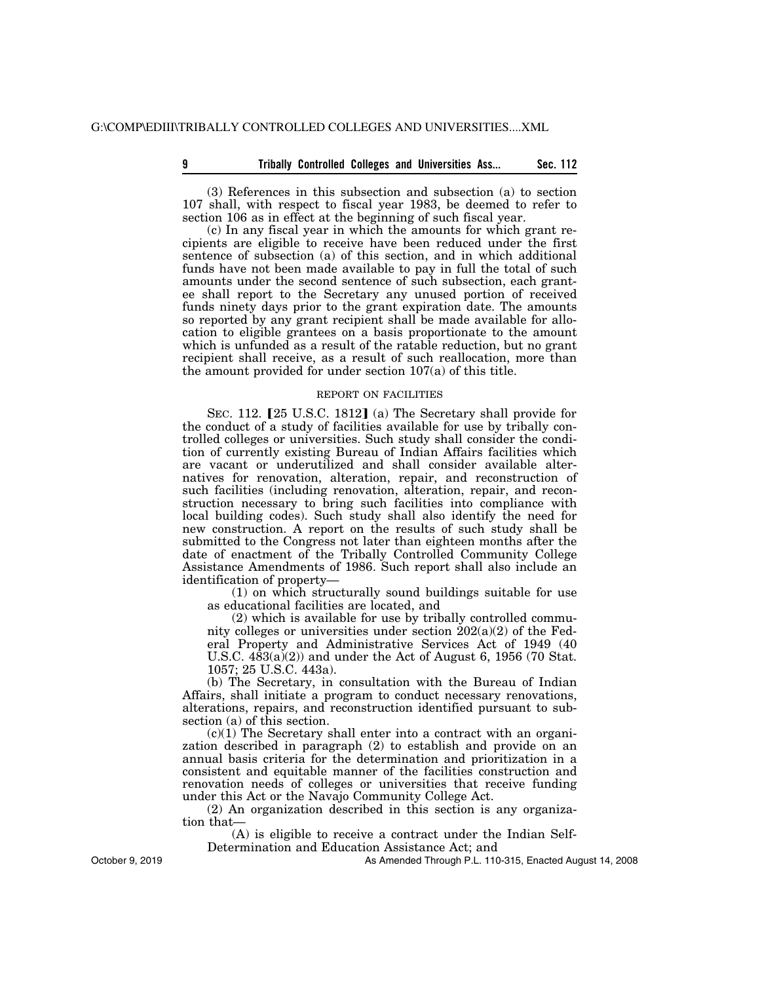## **9 B** Sec. 112 **Tribally Controlled Colleges and Universities Ass... Sec. 112**

(3) References in this subsection and subsection (a) to section 107 shall, with respect to fiscal year 1983, be deemed to refer to section 106 as in effect at the beginning of such fiscal year.

(c) In any fiscal year in which the amounts for which grant recipients are eligible to receive have been reduced under the first sentence of subsection (a) of this section, and in which additional funds have not been made available to pay in full the total of such amounts under the second sentence of such subsection, each grantee shall report to the Secretary any unused portion of received funds ninety days prior to the grant expiration date. The amounts so reported by any grant recipient shall be made available for allocation to eligible grantees on a basis proportionate to the amount which is unfunded as a result of the ratable reduction, but no grant recipient shall receive, as a result of such reallocation, more than the amount provided for under section 107(a) of this title.

#### REPORT ON FACILITIES

SEC. 112. [25 U.S.C. 1812] (a) The Secretary shall provide for the conduct of a study of facilities available for use by tribally controlled colleges or universities. Such study shall consider the condition of currently existing Bureau of Indian Affairs facilities which are vacant or underutilized and shall consider available alternatives for renovation, alteration, repair, and reconstruction of such facilities (including renovation, alteration, repair, and reconstruction necessary to bring such facilities into compliance with local building codes). Such study shall also identify the need for new construction. A report on the results of such study shall be submitted to the Congress not later than eighteen months after the date of enactment of the Tribally Controlled Community College Assistance Amendments of 1986. Such report shall also include an identification of property—

(1) on which structurally sound buildings suitable for use as educational facilities are located, and

(2) which is available for use by tribally controlled community colleges or universities under section  $202(a)(2)$  of the Federal Property and Administrative Services Act of 1949 (40 U.S.C.  $4\overline{8}3(a)(2)$  and under the Act of August 6, 1956 (70 Stat. 1057; 25 U.S.C. 443a).

(b) The Secretary, in consultation with the Bureau of Indian Affairs, shall initiate a program to conduct necessary renovations, alterations, repairs, and reconstruction identified pursuant to subsection (a) of this section.

 $(c)(1)$  The Secretary shall enter into a contract with an organization described in paragraph (2) to establish and provide on an annual basis criteria for the determination and prioritization in a consistent and equitable manner of the facilities construction and renovation needs of colleges or universities that receive funding under this Act or the Navajo Community College Act.

(2) An organization described in this section is any organization that—

(A) is eligible to receive a contract under the Indian Self-Determination and Education Assistance Act; and

As Amended Through P.L. 110-315, Enacted August 14, 2008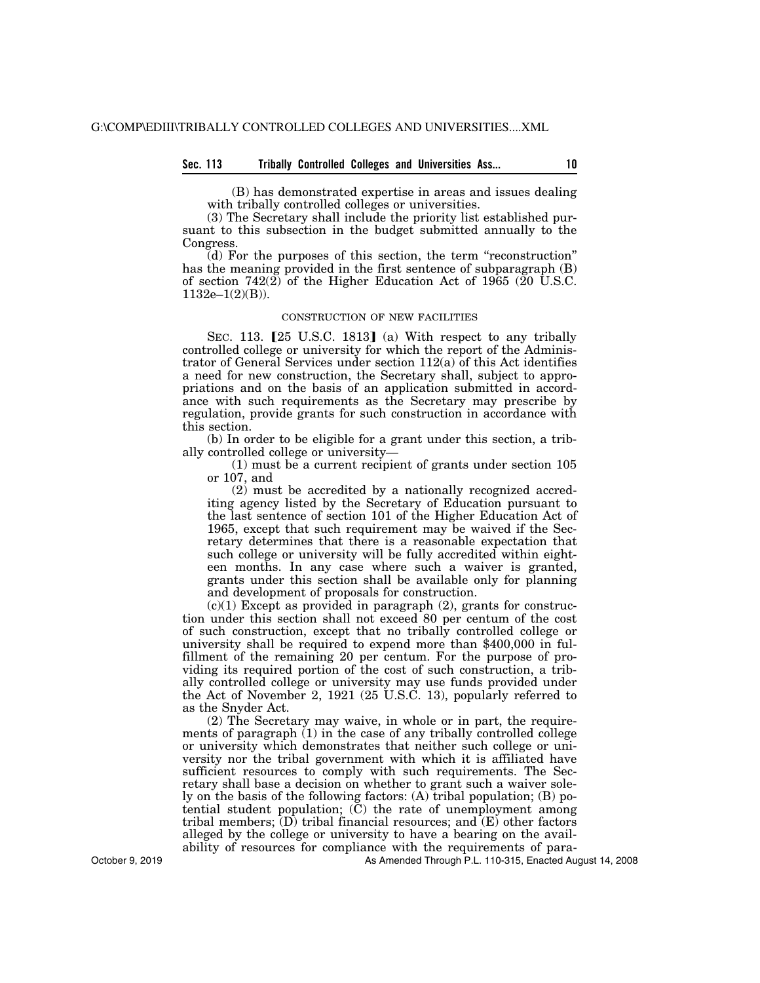## **Sec. 113 Tribally Controlled Colleges and Universities Ass... 10**

(B) has demonstrated expertise in areas and issues dealing with tribally controlled colleges or universities.

(3) The Secretary shall include the priority list established pursuant to this subsection in the budget submitted annually to the Congress.

(d) For the purposes of this section, the term ''reconstruction'' has the meaning provided in the first sentence of subparagraph (B) of section 742(2) of the Higher Education Act of 1965 (20 U.S.C. 1132e–1(2)(B)).

#### CONSTRUCTION OF NEW FACILITIES

SEC. 113.  $[25 \text{ U.S.C. } 1813]$  (a) With respect to any tribally controlled college or university for which the report of the Administrator of General Services under section 112(a) of this Act identifies a need for new construction, the Secretary shall, subject to appropriations and on the basis of an application submitted in accordance with such requirements as the Secretary may prescribe by regulation, provide grants for such construction in accordance with this section.

(b) In order to be eligible for a grant under this section, a tribally controlled college or university—

(1) must be a current recipient of grants under section 105 or 107, and

(2) must be accredited by a nationally recognized accrediting agency listed by the Secretary of Education pursuant to the last sentence of section 101 of the Higher Education Act of 1965, except that such requirement may be waived if the Secretary determines that there is a reasonable expectation that such college or university will be fully accredited within eighteen months. In any case where such a waiver is granted, grants under this section shall be available only for planning and development of proposals for construction.

 $(c)(1)$  Except as provided in paragraph  $(2)$ , grants for construction under this section shall not exceed 80 per centum of the cost of such construction, except that no tribally controlled college or university shall be required to expend more than \$400,000 in fulfillment of the remaining 20 per centum. For the purpose of providing its required portion of the cost of such construction, a tribally controlled college or university may use funds provided under the Act of November 2, 1921 (25 U.S.C. 13), popularly referred to as the Snyder Act.

(2) The Secretary may waive, in whole or in part, the requirements of paragraph (1) in the case of any tribally controlled college or university which demonstrates that neither such college or university nor the tribal government with which it is affiliated have sufficient resources to comply with such requirements. The Secretary shall base a decision on whether to grant such a waiver solely on the basis of the following factors: (A) tribal population; (B) potential student population;  $(\overline{C})$  the rate of unemployment among tribal members;  $(D)$  tribal financial resources; and  $(E)$  other factors alleged by the college or university to have a bearing on the availability of resources for compliance with the requirements of para-

As Amended Through P.L. 110-315, Enacted August 14, 2008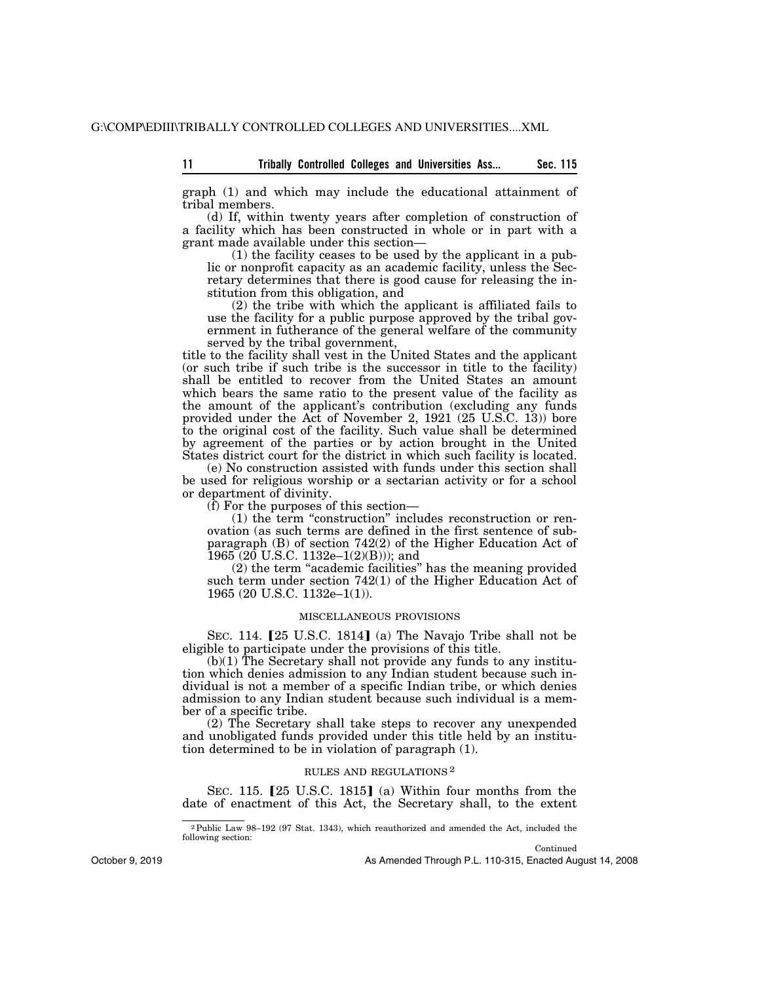graph (1) and which may include the educational attainment of tribal members.

(d) If, within twenty years after completion of construction of a facility which has been constructed in whole or in part with a grant made available under this section—

(1) the facility ceases to be used by the applicant in a public or nonprofit capacity as an academic facility, unless the Secretary determines that there is good cause for releasing the institution from this obligation, and

(2) the tribe with which the applicant is affiliated fails to use the facility for a public purpose approved by the tribal government in futherance of the general welfare of the community served by the tribal government,

title to the facility shall vest in the United States and the applicant (or such tribe if such tribe is the successor in title to the facility) shall be entitled to recover from the United States an amount which bears the same ratio to the present value of the facility as the amount of the applicant's contribution (excluding any funds provided under the Act of November 2, 1921 (25 U.S.C. 13)) bore to the original cost of the facility. Such value shall be determined by agreement of the parties or by action brought in the United States district court for the district in which such facility is located.

(e) No construction assisted with funds under this section shall be used for religious worship or a sectarian activity or for a school or department of divinity.

(f) For the purposes of this section—

(1) the term ''construction'' includes reconstruction or renovation (as such terms are defined in the first sentence of subparagraph (B) of section 742(2) of the Higher Education Act of 1965 (20 U.S.C. 1132e–1(2)(B))); and

(2) the term ''academic facilities'' has the meaning provided such term under section 742(1) of the Higher Education Act of 1965 (20 U.S.C. 1132e–1(1)).

## MISCELLANEOUS PROVISIONS

SEC. 114.  $[25 \text{ U.S.C. } 1814]$  (a) The Navajo Tribe shall not be eligible to participate under the provisions of this title.

 $(b)(1)$  The Secretary shall not provide any funds to any institution which denies admission to any Indian student because such individual is not a member of a specific Indian tribe, or which denies admission to any Indian student because such individual is a member of a specific tribe.

(2) The Secretary shall take steps to recover any unexpended and unobligated funds provided under this title held by an institution determined to be in violation of paragraph (1).

#### RULES AND REGULATIONS 2

SEC. 115.  $[25 \text{ U.S.C. } 1815]$  (a) Within four months from the date of enactment of this Act, the Secretary shall, to the extent

Continued

<sup>2</sup>Public Law 98–192 (97 Stat. 1343), which reauthorized and amended the Act, included the following section: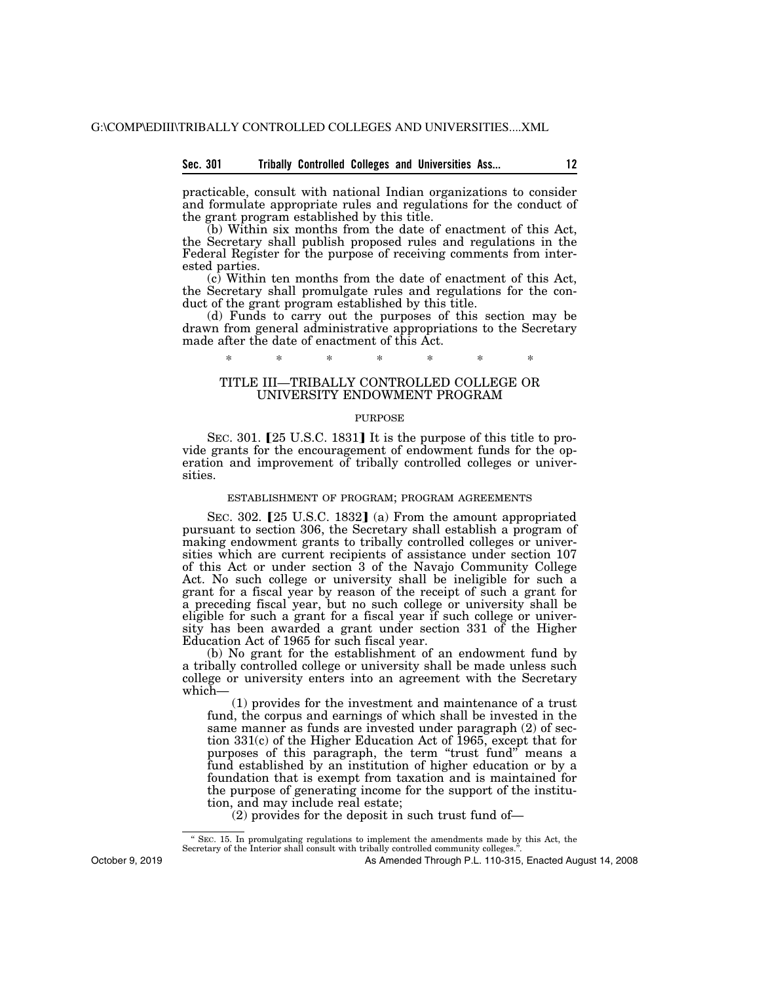## **Sec. 301 Tribally Controlled Colleges and Universities Ass... 12**

practicable, consult with national Indian organizations to consider and formulate appropriate rules and regulations for the conduct of the grant program established by this title.

(b) Within six months from the date of enactment of this Act, the Secretary shall publish proposed rules and regulations in the Federal Register for the purpose of receiving comments from interested parties.

(c) Within ten months from the date of enactment of this Act, the Secretary shall promulgate rules and regulations for the conduct of the grant program established by this title.

(d) Funds to carry out the purposes of this section may be drawn from general administrative appropriations to the Secretary made after the date of enactment of this Act.

# \* \* \* \* \* \* \*

## TITLE III—TRIBALLY CONTROLLED COLLEGE OR UNIVERSITY ENDOWMENT PROGRAM

#### PURPOSE

SEC. 301. [25 U.S.C. 1831] It is the purpose of this title to provide grants for the encouragement of endowment funds for the operation and improvement of tribally controlled colleges or universities.

#### ESTABLISHMENT OF PROGRAM; PROGRAM AGREEMENTS

SEC. 302. [25 U.S.C. 1832] (a) From the amount appropriated pursuant to section 306, the Secretary shall establish a program of making endowment grants to tribally controlled colleges or universities which are current recipients of assistance under section 107 of this Act or under section 3 of the Navajo Community College Act. No such college or university shall be ineligible for such a grant for a fiscal year by reason of the receipt of such a grant for a preceding fiscal year, but no such college or university shall be eligible for such a grant for a fiscal year if such college or university has been awarded a grant under section 331 of the Higher Education Act of 1965 for such fiscal year.

(b) No grant for the establishment of an endowment fund by a tribally controlled college or university shall be made unless such college or university enters into an agreement with the Secretary which—

(1) provides for the investment and maintenance of a trust fund, the corpus and earnings of which shall be invested in the same manner as funds are invested under paragraph (2) of section 331(c) of the Higher Education Act of 1965, except that for purposes of this paragraph, the term "trust fund" means a fund established by an institution of higher education or by a foundation that is exempt from taxation and is maintained for the purpose of generating income for the support of the institution, and may include real estate;

(2) provides for the deposit in such trust fund of—

October 9, 2019

<sup>&#</sup>x27;' SEC. 15. In promulgating regulations to implement the amendments made by this Act, the Secretary of the Interior shall consult with tribally controlled community colleges.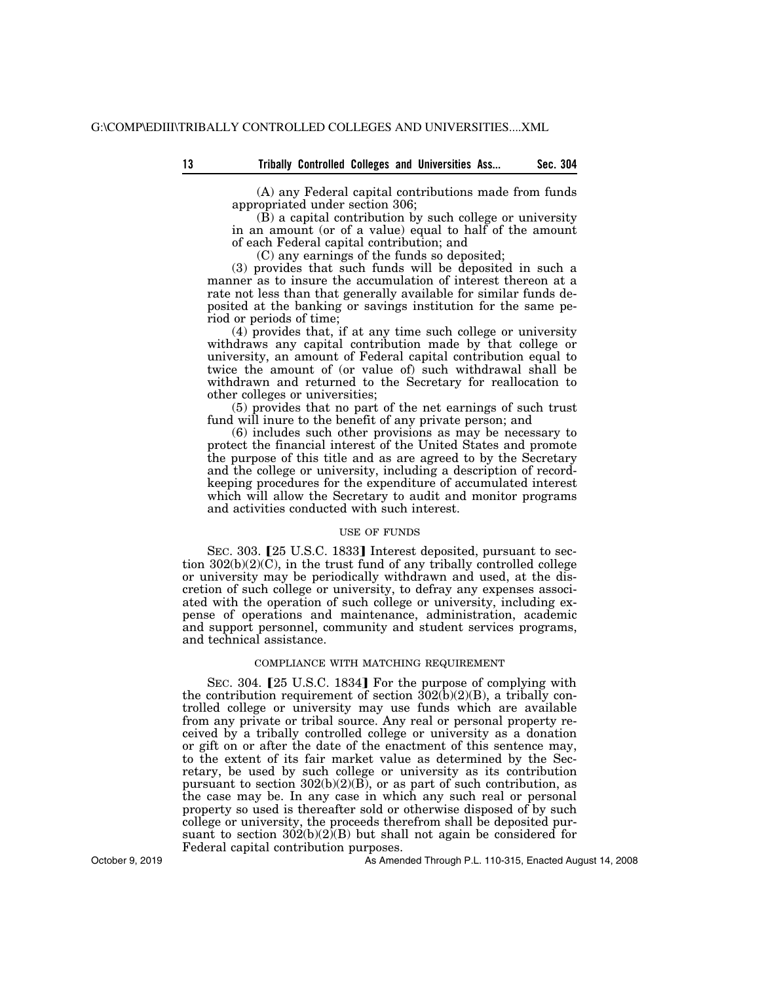(A) any Federal capital contributions made from funds appropriated under section 306;

 $(\hat{B})$  a capital contribution by such college or university in an amount (or of a value) equal to half of the amount of each Federal capital contribution; and

(C) any earnings of the funds so deposited;

(3) provides that such funds will be deposited in such a manner as to insure the accumulation of interest thereon at a rate not less than that generally available for similar funds deposited at the banking or savings institution for the same period or periods of time;

(4) provides that, if at any time such college or university withdraws any capital contribution made by that college or university, an amount of Federal capital contribution equal to twice the amount of (or value of) such withdrawal shall be withdrawn and returned to the Secretary for reallocation to other colleges or universities;

(5) provides that no part of the net earnings of such trust fund will inure to the benefit of any private person; and

(6) includes such other provisions as may be necessary to protect the financial interest of the United States and promote the purpose of this title and as are agreed to by the Secretary and the college or university, including a description of recordkeeping procedures for the expenditure of accumulated interest which will allow the Secretary to audit and monitor programs and activities conducted with such interest.

#### USE OF FUNDS

SEC. 303. [25 U.S.C. 1833] Interest deposited, pursuant to section 302(b)(2)(C), in the trust fund of any tribally controlled college or university may be periodically withdrawn and used, at the discretion of such college or university, to defray any expenses associated with the operation of such college or university, including expense of operations and maintenance, administration, academic and support personnel, community and student services programs, and technical assistance.

## COMPLIANCE WITH MATCHING REQUIREMENT

SEC. 304. [25 U.S.C. 1834] For the purpose of complying with the contribution requirement of section  $302(b)(2)(B)$ , a tribally controlled college or university may use funds which are available from any private or tribal source. Any real or personal property received by a tribally controlled college or university as a donation or gift on or after the date of the enactment of this sentence may, to the extent of its fair market value as determined by the Secretary, be used by such college or university as its contribution pursuant to section  $302(b)(2)(B)$ , or as part of such contribution, as the case may be. In any case in which any such real or personal property so used is thereafter sold or otherwise disposed of by such college or university, the proceeds therefrom shall be deposited pursuant to section  $302(b)(2)(B)$  but shall not again be considered for Federal capital contribution purposes.

As Amended Through P.L. 110-315, Enacted August 14, 2008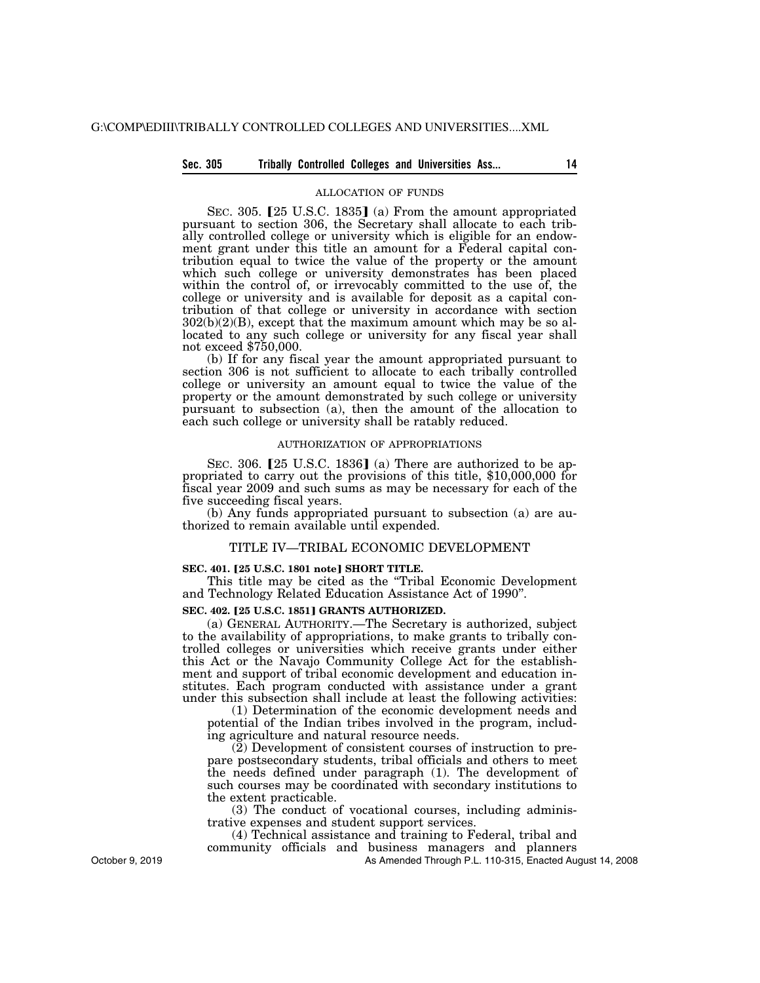## **Sec. 305 Tribally Controlled Colleges and Universities Ass... 14**

#### ALLOCATION OF FUNDS

SEC. 305. [25 U.S.C. 1835] (a) From the amount appropriated pursuant to section 306, the Secretary shall allocate to each tribally controlled college or university which is eligible for an endowment grant under this title an amount for a Federal capital contribution equal to twice the value of the property or the amount which such college or university demonstrates has been placed within the control of, or irrevocably committed to the use of, the college or university and is available for deposit as a capital contribution of that college or university in accordance with section  $302(b)(2)(B)$ , except that the maximum amount which may be so allocated to any such college or university for any fiscal year shall not exceed \$750,000.

(b) If for any fiscal year the amount appropriated pursuant to section 306 is not sufficient to allocate to each tribally controlled college or university an amount equal to twice the value of the property or the amount demonstrated by such college or university pursuant to subsection (a), then the amount of the allocation to each such college or university shall be ratably reduced.

#### AUTHORIZATION OF APPROPRIATIONS

SEC. 306.  $[25 \text{ U.S.C. } 1836]$  (a) There are authorized to be appropriated to carry out the provisions of this title, \$10,000,000 for fiscal year 2009 and such sums as may be necessary for each of the five succeeding fiscal years.

(b) Any funds appropriated pursuant to subsection (a) are authorized to remain available until expended.

#### TITLE IV—TRIBAL ECONOMIC DEVELOPMENT

#### **SEC. 401.** ø**25 U.S.C. 1801 note**¿ **SHORT TITLE.**

This title may be cited as the ''Tribal Economic Development and Technology Related Education Assistance Act of 1990''.

## **SEC. 402. [25 U.S.C. 1851] GRANTS AUTHORIZED.**

(a) GENERAL AUTHORITY.—The Secretary is authorized, subject to the availability of appropriations, to make grants to tribally controlled colleges or universities which receive grants under either this Act or the Navajo Community College Act for the establishment and support of tribal economic development and education institutes. Each program conducted with assistance under a grant under this subsection shall include at least the following activities:

(1) Determination of the economic development needs and potential of the Indian tribes involved in the program, including agriculture and natural resource needs.

(2) Development of consistent courses of instruction to prepare postsecondary students, tribal officials and others to meet the needs defined under paragraph (1). The development of such courses may be coordinated with secondary institutions to the extent practicable.

(3) The conduct of vocational courses, including administrative expenses and student support services.

(4) Technical assistance and training to Federal, tribal and community officials and business managers and planners

As Amended Through P.L. 110-315, Enacted August 14, 2008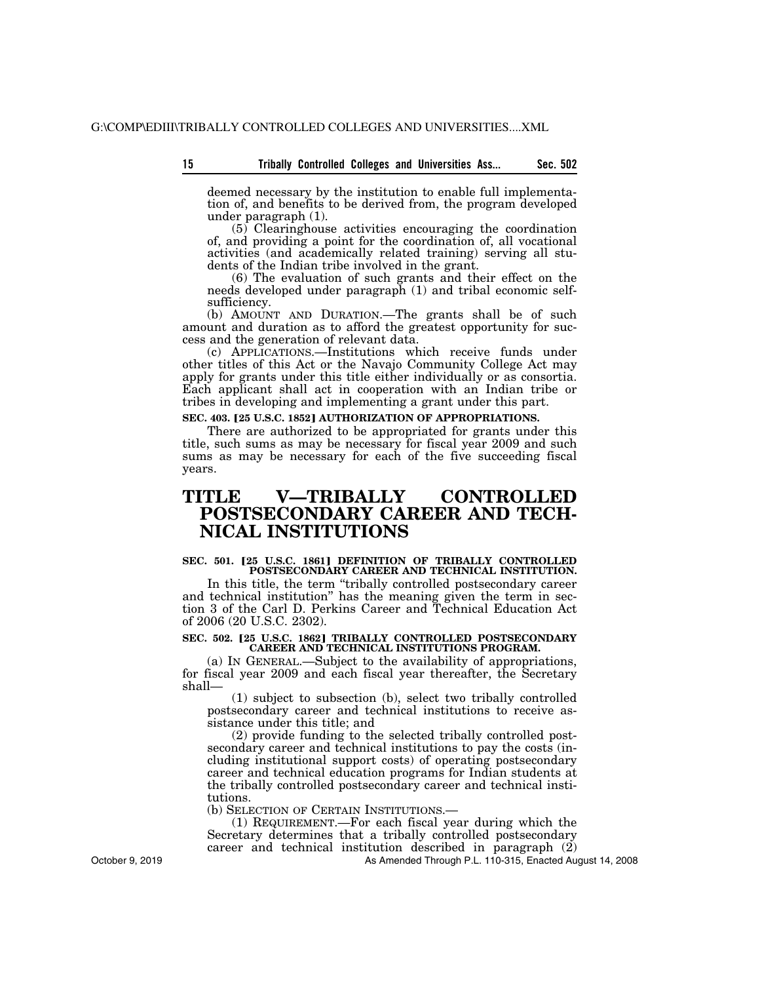**15 Sec. 502 Tribally Controlled Colleges and Universities Ass...** 

deemed necessary by the institution to enable full implementation of, and benefits to be derived from, the program developed under paragraph (1).

(5) Clearinghouse activities encouraging the coordination of, and providing a point for the coordination of, all vocational activities (and academically related training) serving all students of the Indian tribe involved in the grant.

(6) The evaluation of such grants and their effect on the needs developed under paragraph (1) and tribal economic selfsufficiency.

(b) AMOUNT AND DURATION.—The grants shall be of such amount and duration as to afford the greatest opportunity for success and the generation of relevant data.

(c) APPLICATIONS.—Institutions which receive funds under other titles of this Act or the Navajo Community College Act may apply for grants under this title either individually or as consortia. Each applicant shall act in cooperation with an Indian tribe or tribes in developing and implementing a grant under this part.

## **SEC. 403. [25 U.S.C. 1852] AUTHORIZATION OF APPROPRIATIONS.**

There are authorized to be appropriated for grants under this title, such sums as may be necessary for fiscal year 2009 and such sums as may be necessary for each of the five succeeding fiscal years.

# **TITLE V—TRIBALLY CONTROLLED POSTSECONDARY CAREER AND TECH-NICAL INSTITUTIONS**

#### **SEC. 501. [25 U.S.C. 1861] DEFINITION OF TRIBALLY CONTROLLED POSTSECONDARY CAREER AND TECHNICAL INSTITUTION.**

In this title, the term "tribally controlled postsecondary career and technical institution'' has the meaning given the term in section 3 of the Carl D. Perkins Career and Technical Education Act of 2006 (20 U.S.C. 2302).

#### **SEC. 502. [25 U.S.C. 1862] TRIBALLY CONTROLLED POSTSECONDARY CAREER AND TECHNICAL INSTITUTIONS PROGRAM.**

(a) IN GENERAL.—Subject to the availability of appropriations, for fiscal year 2009 and each fiscal year thereafter, the Secretary shall—

(1) subject to subsection (b), select two tribally controlled postsecondary career and technical institutions to receive assistance under this title; and

(2) provide funding to the selected tribally controlled postsecondary career and technical institutions to pay the costs (including institutional support costs) of operating postsecondary career and technical education programs for Indian students at the tribally controlled postsecondary career and technical institutions.

(b) SELECTION OF CERTAIN INSTITUTIONS.—

(1) REQUIREMENT.—For each fiscal year during which the Secretary determines that a tribally controlled postsecondary career and technical institution described in paragraph (2)

As Amended Through P.L. 110-315, Enacted August 14, 2008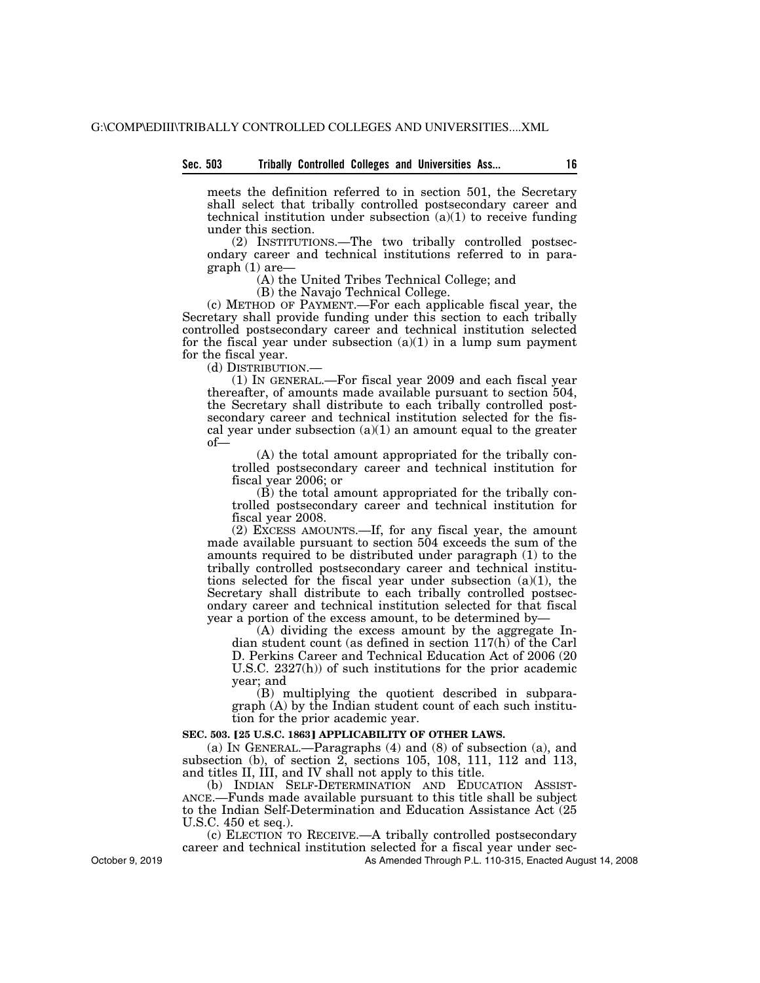# **Sec. 503 Tribally Controlled Colleges and Universities Ass... 16**

meets the definition referred to in section 501, the Secretary shall select that tribally controlled postsecondary career and technical institution under subsection  $(a)(1)$  to receive funding under this section.

(2) INSTITUTIONS.—The two tribally controlled postsecondary career and technical institutions referred to in paragraph (1) are—

(A) the United Tribes Technical College; and

(B) the Navajo Technical College.

(c) METHOD OF PAYMENT.—For each applicable fiscal year, the Secretary shall provide funding under this section to each tribally controlled postsecondary career and technical institution selected for the fiscal year under subsection  $(a)(1)$  in a lump sum payment for the fiscal year.

(d) DISTRIBUTION.—

(1) IN GENERAL.—For fiscal year 2009 and each fiscal year thereafter, of amounts made available pursuant to section 504, the Secretary shall distribute to each tribally controlled postsecondary career and technical institution selected for the fiscal year under subsection  $(a)(1)$  an amount equal to the greater of—

(A) the total amount appropriated for the tribally controlled postsecondary career and technical institution for fiscal year 2006; or

(B) the total amount appropriated for the tribally controlled postsecondary career and technical institution for fiscal year 2008.

(2) EXCESS AMOUNTS.—If, for any fiscal year, the amount made available pursuant to section 504 exceeds the sum of the amounts required to be distributed under paragraph (1) to the tribally controlled postsecondary career and technical institutions selected for the fiscal year under subsection (a)(1), the Secretary shall distribute to each tribally controlled postsecondary career and technical institution selected for that fiscal year a portion of the excess amount, to be determined by—

(A) dividing the excess amount by the aggregate Indian student count (as defined in section 117(h) of the Carl D. Perkins Career and Technical Education Act of 2006 (20 U.S.C. 2327(h)) of such institutions for the prior academic year; and

(B) multiplying the quotient described in subparagraph (A) by the Indian student count of each such institution for the prior academic year.

#### **SEC. 503. [25 U.S.C. 1863] APPLICABILITY OF OTHER LAWS.**

(a) IN GENERAL.—Paragraphs (4) and (8) of subsection (a), and subsection (b), of section 2, sections 105, 108, 111, 112 and 113, and titles II, III, and IV shall not apply to this title.<br>(b) INDIAN SELF-DETERMINATION AND EDUCATION ASSIST-

ANCE.—Funds made available pursuant to this title shall be subject to the Indian Self-Determination and Education Assistance Act (25 U.S.C. 450 et seq.).

(c) ELECTION TO RECEIVE.—A tribally controlled postsecondary career and technical institution selected for a fiscal year under sec-

As Amended Through P.L. 110-315, Enacted August 14, 2008